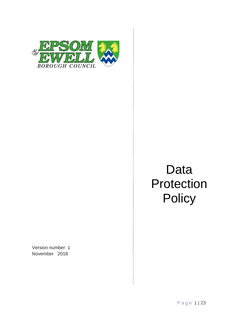

# Data Protection **Policy**

Version number 1 November 2018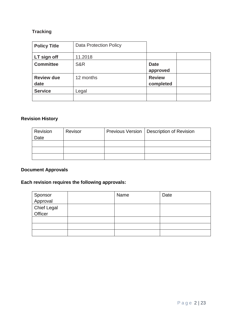### **Tracking**

| <b>Policy Title</b>       | <b>Data Protection Policy</b> |                            |  |
|---------------------------|-------------------------------|----------------------------|--|
| LT sign off               | 11.2018                       |                            |  |
| <b>Committee</b>          | <b>S&amp;R</b>                | <b>Date</b><br>approved    |  |
| <b>Review due</b><br>date | 12 months                     | <b>Review</b><br>completed |  |
| <b>Service</b>            | Legal                         |                            |  |
|                           |                               |                            |  |

### **Revision History**

| Revision | Revisor | Previous Version   Description of Revision |
|----------|---------|--------------------------------------------|
| Date     |         |                                            |
|          |         |                                            |
|          |         |                                            |
|          |         |                                            |

### **Document Approvals**

### **Each revision requires the following approvals:**

|                        | Name | Date |
|------------------------|------|------|
| Sponsor<br>Approval    |      |      |
|                        |      |      |
| Chief Legal<br>Officer |      |      |
|                        |      |      |
|                        |      |      |
|                        |      |      |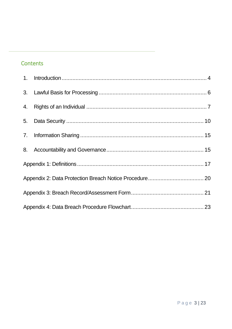### Contents

| 4. |  |
|----|--|
| 5. |  |
|    |  |
|    |  |
|    |  |
|    |  |
|    |  |
|    |  |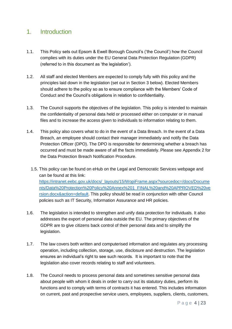### <span id="page-3-0"></span>1. Introduction

- 1.1. This Policy sets out Epsom & Ewell Borough Council's ('the Council') how the Council complies with its duties under the EU General Data Protection Regulation (GDPR) (referred to in this document as 'the legislation').
- 1.2. All staff and elected Members are expected to comply fully with this policy and the principles laid down in the legislation (set out in Section 3 below). Elected Members should adhere to the policy so as to ensure compliance with the Members' Code of Conduct and the Council's obligations in relation to confidentiality.
- 1.3. The Council supports the objectives of the legislation. This policy is intended to maintain the confidentiality of personal data held or processed either on computer or in manual files and to increase the access given to individuals to information relating to them.
- 1.4. This policy also covers what to do in the event of a Data Breach. In the event of a Data Breach, an employee should contact their manager immediately and notify the Data Protection Officer (DPO). The DPO is responsible for determining whether a breach has occurred and must be made aware of all the facts immediately. Please see Appendix 2 for the Data Protection Breach Notification Procedure.
	- 1.5. This policy can be found on eHub on the Legal and Democratic Services webpage and can be found at this link: [https://intranet.eebc.gov.uk/docs/\\_layouts/15/WopiFrame.aspx?sourcedoc=/docs/Docume](https://intranet.eebc.gov.uk/docs/_layouts/15/WopiFrame.aspx?sourcedoc=/docs/Documents/Data%20Protection%20Policy%20Annex%201_FINAL%20and%20APPROVED%20version.docx&action=default) [nts/Data%20Protection%20Policy%20Annex%201\\_FINAL%20and%20APPROVED%20ve](https://intranet.eebc.gov.uk/docs/_layouts/15/WopiFrame.aspx?sourcedoc=/docs/Documents/Data%20Protection%20Policy%20Annex%201_FINAL%20and%20APPROVED%20version.docx&action=default) [rsion.docx&action=default.](https://intranet.eebc.gov.uk/docs/_layouts/15/WopiFrame.aspx?sourcedoc=/docs/Documents/Data%20Protection%20Policy%20Annex%201_FINAL%20and%20APPROVED%20version.docx&action=default) This policy should be read in conjunction with other Council policies such as IT Security, Information Assurance and HR policies.
- 1.6. The legislation is intended to strengthen and unify data protection for individuals. It also addresses the export of personal data outside the EU. The primary objectives of the GDPR are to give citizens back control of their personal data and to simplify the legislation.
- 1.7. The law covers both written and computerised information and regulates any processing operation, including collection, storage, use, disclosure and destruction. The legislation ensures an individual's right to see such records. It is important to note that the legislation also cover records relating to staff and volunteers.
- 1.8. The Council needs to process personal data and sometimes sensitive personal data about people with whom it deals in order to carry out its statutory duties, perform its functions and to comply with terms of contracts it has entered. This includes information on current, past and prospective service users, employees, suppliers, clients, customers,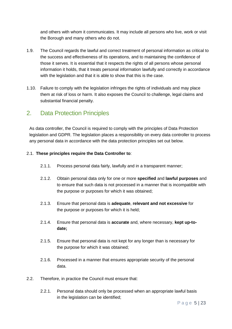and others with whom it communicates. It may include all persons who live, work or visit the Borough and many others who do not.

- 1.9. The Council regards the lawful and correct treatment of personal information as critical to the success and effectiveness of its operations, and to maintaining the confidence of those it serves. It is essential that it respects the rights of all persons whose personal information it holds, that it treats personal information lawfully and correctly in accordance with the legislation and that it is able to show that this is the case.
- 1.10. Failure to comply with the legislation infringes the rights of individuals and may place them at risk of loss or harm. It also exposes the Council to challenge, legal claims and substantial financial penalty.

### 2. Data Protection Principles

As data controller, the Council is required to comply with the principles of Data Protection legislation and GDPR. The legislation places a responsibility on every data controller to process any personal data in accordance with the data protection principles set out below.

#### 2.1. **These principles require the Data Controller to**:

- 2.1.1. Process personal data fairly, lawfully and in a transparent manner;
- 2.1.2. Obtain personal data only for one or more **specified** and **lawful purposes** and to ensure that such data is not processed in a manner that is incompatible with the purpose or purposes for which it was obtained;
- 2.1.3. Ensure that personal data is **adequate**, **relevant and not excessive** for the purpose or purposes for which it is held;
- 2.1.4. Ensure that personal data is **accurate** and, where necessary, **kept up-todate;**
- 2.1.5. Ensure that personal data is not kept for any longer than is necessary for the purpose for which it was obtained;
- 2.1.6. Processed in a manner that ensures appropriate security of the personal data.
- 2.2. Therefore, in practice the Council must ensure that:
	- 2.2.1. Personal data should only be processed when an appropriate lawful basis in the legislation can be identified;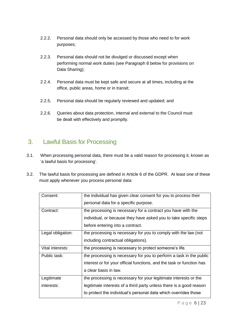- 2.2.2. Personal data should only be accessed by those who need to for work purposes;
- 2.2.3. Personal data should not be divulged or discussed except when performing normal work duties (see Paragraph 8 below for provisions on Data Sharing);
- 2.2.4. Personal data must be kept safe and secure at all times, including at the office, public areas, home or in transit;
- 2.2.5. Personal data should be regularly reviewed and updated; and
- 2.2.6. Queries about data protection, internal and external to the Council must be dealt with effectively and promptly.

### <span id="page-5-0"></span>3. Lawful Basis for Processing

- 3.1. When processing personal data, there must be a valid reason for processing it, known as 'a lawful basis for processing'.
- 3.2. The lawful basis for processing are defined in Article 6 of the GDPR. At least one of these must apply whenever you process personal data:

| Consent:          | the individual has given clear consent for you to process their       |
|-------------------|-----------------------------------------------------------------------|
|                   | personal data for a specific purpose.                                 |
| Contract:         | the processing is necessary for a contract you have with the          |
|                   | individual, or because they have asked you to take specific steps     |
|                   | before entering into a contract.                                      |
| Legal obligation: | the processing is necessary for you to comply with the law (not       |
|                   | including contractual obligations).                                   |
| Vital interests:  | the processing is necessary to protect someone's life.                |
| Public task:      | the processing is necessary for you to perform a task in the public   |
|                   | interest or for your official functions, and the task or function has |
|                   | a clear basis in law.                                                 |
| Legitimate        | the processing is necessary for your legitimate interests or the      |
| interests:        | legitimate interests of a third party unless there is a good reason   |
|                   | to protect the individual's personal data which overrides those       |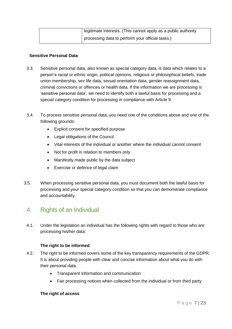| legitimate interests. (This cannot apply as a public authority |
|----------------------------------------------------------------|
| processing data to perform your official tasks.)               |

#### **Sensitive Personal Data**

- 3.3. Sensitive personal data, also known as special category data, is data which relates to a person's racial or ethnic origin, political opinions, religious or philosophical beliefs, trade union membership, sex life data, sexual orientation data, gender reassignment data, criminal convictions or offences or health data. If the information we are processing is 'sensitive personal data', we need to identify both a lawful basis for processing and a special category condition for processing in compliance with Article 9.
- 3.4. To process sensitive personal data, you need one of the conditions above and one of the following grounds:
	- Explicit consent for specified purpose
	- Legal obligations of the Council
	- Vital interests of the individual or another where the individual cannot consent
	- Not for profit in relation to members only
	- Manifestly made public by the data subject
	- Exercise or defence of legal claim
- 3.5. When processing sensitive personal data, you must document both the lawful basis for processing and your special category condition so that you can demonstrate compliance and accountability.

### <span id="page-6-0"></span>4. Rights of an Individual

4.1. Under the legislation an individual has the following rights with regard to those who are processing his/her data:

#### **The right to be informed**

- 4.2. The right to be informed covers some of the key transparency requirements of the GDPR. It is about providing people with clear and concise information about what you do with their personal data.
	- Transparent information and communication
	- Fair processing notices when collected from the individual or from third party

#### **The right of access**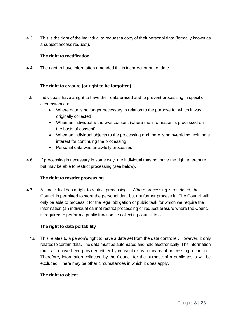4.3. This is the right of the individual to request a copy of their personal data (formally known as a subject access request).

#### **The right to rectification**

4.4. The right to have information amended if it is incorrect or out of date.

#### **The right to erasure (or right to be forgotten)**

- 4.5. Individuals have a right to have their data erased and to prevent processing in specific circumstances:
	- Where data is no longer necessary in relation to the purpose for which it was originally collected
	- When an individual withdraws consent (where the information is processed on the basis of consent)
	- When an individual objects to the processing and there is no overriding legitimate interest for continuing the processing
	- Personal data was unlawfully processed
- 4.6. If processing is necessary in some way, the individual may not have the right to erasure but may be able to restrict processing (see below).

#### **The right to restrict processing**

4.7. An individual has a right to restrict processing. Where processing is restricted, the Council is permitted to store the personal data but not further process it. The Council will only be able to process it for the legal obligation or public task for which we require the information (an individual cannot restrict processing or request erasure where the Council is required to perform a public function, ie collecting council tax).

#### **The right to data portability**

4.8. This relates to a person's right to have a data set from the data controller. However, it only relates to certain data. The data must be automated and held electronically. The information must also have been provided either by consent or as a means of processing a contract. Therefore, information collected by the Council for the purpose of a public tasks will be excluded. There may be other circumstances in which it does apply.

#### **The right to object**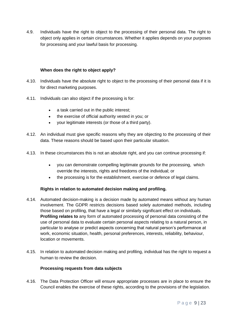4.9. Individuals have the right to object to the processing of their personal data. The right to object only applies in certain circumstances. Whether it applies depends on your purposes for processing and your lawful basis for processing.

#### **When does the right to object apply?**

- 4.10. Individuals have the absolute right to object to the processing of their personal data if it is for direct marketing purposes.
- 4.11. Individuals can also object if the processing is for:
	- a task carried out in the public interest;
	- the exercise of official authority vested in you; or
	- your legitimate interests (or those of a third party).
- 4.12. An individual must give specific reasons why they are objecting to the processing of their data. These reasons should be based upon their particular situation.
- 4.13. In these circumstances this is not an absolute right, and you can continue processing if:
	- you can demonstrate compelling legitimate grounds for the processing, which override the interests, rights and freedoms of the individual; or
	- the processing is for the establishment, exercise or defence of legal claims.

#### **Rights in relation to automated decision making and profiling.**

- 4.14. Automated decision-making is a decision made by automated means without any human involvement. The GDPR restricts decisions based solely automated methods, including those based on profiling, that have a legal or similarly significant effect on individuals. **Profiling relates to** any form of automated processing of personal data consisting of the use of personal data to evaluate certain personal aspects relating to a natural person, in particular to analyse or predict aspects concerning that natural person's performance at work, economic situation, health, personal preferences, interests, reliability, behaviour, location or movements.
- 4.15. In relation to automated decision making and profiling, individual has the right to request a human to review the decision.

#### **Processing requests from data subjects**

4.16. The Data Protection Officer will ensure appropriate processes are in place to ensure the Council enables the exercise of these rights, according to the provisions of the legislation.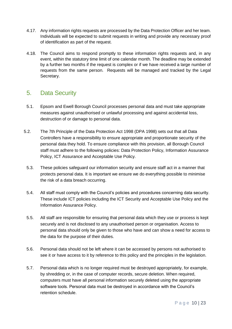- 4.17. Any information rights requests are processed by the Data Protection Officer and her team. Individuals will be expected to submit requests in writing and provide any necessary proof of identification as part of the request.
- 4.18. The Council aims to respond promptly to these information rights requests and, in any event, within the statutory time limit of one calendar month. The deadline may be extended by a further two months if the request is complex or if we have received a large number of requests from the same person. Requests will be managed and tracked by the Legal Secretary.

### <span id="page-9-0"></span>5. Data Security

- 5.1. Epsom and Ewell Borough Council processes personal data and must take appropriate measures against unauthorised or unlawful processing and against accidental loss, destruction of or damage to personal data.
- 5.2. The 7th Principle of the Data Protection Act 1998 (DPA 1998) sets out that all Data Controllers have a responsibility to ensure appropriate and proportionate security of the personal data they hold. To ensure compliance with this provision, all Borough Council staff must adhere to the following policies: Data Protection Policy, Information Assurance Policy, ICT Assurance and Acceptable Use Policy.
	- 5.3. These policies safeguard our information security and ensure staff act in a manner that protects personal data. It is important we ensure we do everything possible to minimise the risk of a data breach occurring.
	- 5.4. All staff must comply with the Council's policies and procedures concerning data security. These include ICT policies including the ICT Security and Acceptable Use Policy and the Information Assurance Policy.
	- 5.5. All staff are responsible for ensuring that personal data which they use or process is kept securely and is not disclosed to any unauthorised person or organisation. Access to personal data should only be given to those who have and can show a need for access to the data for the purpose of their duties.
	- 5.6. Personal data should not be left where it can be accessed by persons not authorised to see it or have access to it by reference to this policy and the principles in the legislation.
	- 5.7. Personal data which is no longer required must be destroyed appropriately, for example, by shredding or, in the case of computer records, secure deletion. When required, computers must have all personal information securely deleted using the appropriate software tools. Personal data must be destroyed in accordance with the Council's retention schedule.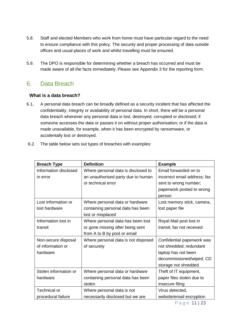- 5.8. Staff and elected Members who work from home must have particular regard to the need to ensure compliance with this policy. The security and proper processing of data outside offices and usual places of work and whilst travelling must be ensured.
- 5.9. The DPO is responsible for determining whether a breach has occurred and must be made aware of all the facts immediately. Please see Appendix 3 for the reporting form.

### 6. Data Breach

#### **What is a data breach?**

- 6.1**.** A personal data breach can be broadly defined as a security incident that has affected the confidentiality, integrity or availability of personal data. In short, there will be a personal data breach whenever any personal data is lost, destroyed, corrupted or disclosed; if someone accesses the data or passes it on without proper authorisation; or if the data is made unavailable, for example, when it has been encrypted by ransomware, or accidentally lost or destroyed.
- 6.2. The table below sets out types of breaches with examples:

| <b>Breach Type</b>    | <b>Definition</b>                   | <b>Example</b>               |
|-----------------------|-------------------------------------|------------------------------|
| Information disclosed | Where personal data is disclosed to | Email forwarded on to        |
| in error              | an unauthorised party due to human  | incorrect email address; fax |
|                       | or technical error                  | sent to wrong number;        |
|                       |                                     | paperwork posted to wrong    |
|                       |                                     | person                       |
| Lost information or   | Where personal data or hardware     | Lost memory stick, camera,   |
| lost hardware         | containing personal data has been   | lost paper file              |
|                       | lost or misplaced                   |                              |
| Information lost in   | Where personal data has been lost   | Royal Mail post lost in      |
| transit               | or gone missing after being sent    | transit; fax not received    |
|                       | from A to B by post or email        |                              |
| Non-secure disposal   | Where personal data is not disposed | Confidential paperwork was   |
| of information or     | of securely                         | not shredded; redundant      |
| hardware              |                                     | laptop has not been          |
|                       |                                     | decommissioned/wiped; CD     |
|                       |                                     | storage not shredded         |
| Stolen information or | Where personal data or hardware     | Theft of IT equipment,       |
| hardware              | containing personal data has been   | paper files stolen due to    |
|                       | stolen                              | insecure filing              |
| <b>Technical or</b>   | Where personal data is not          | Virus detected,              |
| procedural failure    | necessarily disclosed but we are    | website/email encryption     |

Page 11 | 23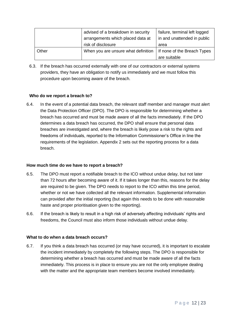|       | advised of a breakdown in security<br>arrangements which placed data at | failure, terminal left logged<br>in and unattended in public |
|-------|-------------------------------------------------------------------------|--------------------------------------------------------------|
|       | risk of disclosure                                                      | area                                                         |
| Other | When you are unsure what definition                                     | If none of the Breach Types                                  |
|       |                                                                         | are suitable                                                 |

6.3. If the breach has occurred externally with one of our contractors or external systems providers, they have an obligation to notify us immediately and we must follow this procedure upon becoming aware of the breach.

#### **Who do we report a breach to?**

6.4. In the event of a potential data breach, the relevant staff member and manager must alert the Data Protection Officer (DPO). The DPO is responsible for determining whether a breach has occurred and must be made aware of all the facts immediately. If the DPO determines a data breach has occurred, the DPO shall ensure that personal data breaches are investigated and, where the breach is likely pose a risk to the rights and freedoms of individuals, reported to the Information Commissioner's Office in line the requirements of the legislation. Appendix 2 sets out the reporting process for a data breach.

#### **How much time do we have to report a breach?**

- 6.5. The DPO must report a notifiable breach to the ICO without undue delay, but not later than 72 hours after becoming aware of it. If it takes longer than this, reasons for the delay are required to be given. The DPO needs to report to the ICO within this time period, whether or not we have collected all the relevant information. Supplemental information can provided after the initial reporting (but again this needs to be done with reasonable haste and proper prioritisation given to the reporting).
- 6.6. If the breach is likely to result in a high risk of adversely affecting individuals' rights and freedoms, the Council must also inform those individuals without undue delay.

#### **What to do when a data breach occurs?**

6.7. If you think a data breach has occurred (or may have occurred), it is important to escalate the incident immediately by completely the following steps. The DPO is responsible for determining whether a breach has occurred and must be made aware of all the facts immediately. This process is in place to ensure you are not the only employee dealing with the matter and the appropriate team members become involved immediately.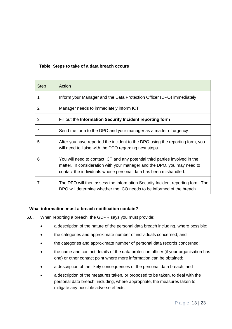#### **Table: Steps to take of a data breach occurs**

| <b>Step</b> | Action                                                                                                                                                                                                                      |
|-------------|-----------------------------------------------------------------------------------------------------------------------------------------------------------------------------------------------------------------------------|
|             | Inform your Manager and the Data Protection Officer (DPO) immediately                                                                                                                                                       |
| 2           | Manager needs to immediately inform ICT                                                                                                                                                                                     |
| 3           | Fill out the Information Security Incident reporting form                                                                                                                                                                   |
| 4           | Send the form to the DPO and your manager as a matter of urgency                                                                                                                                                            |
| 5           | After you have reported the incident to the DPO using the reporting form, you<br>will need to liaise with the DPO regarding next steps.                                                                                     |
| 6           | You will need to contact ICT and any potential third parties involved in the<br>matter. In consideration with your manager and the DPO, you may need to<br>contact the individuals whose personal data has been mishandled. |
| 7           | The DPO will then assess the Information Security Incident reporting form. The<br>DPO will determine whether the ICO needs to be informed of the breach.                                                                    |

#### **What information must a breach notification contain?**

- 6.8. When reporting a breach, the GDPR says you must provide:
	- a description of the nature of the personal data breach including, where possible;
	- the categories and approximate number of individuals concerned; and
	- the categories and approximate number of personal data records concerned;
	- the name and contact details of the data protection officer (if your organisation has one) or other contact point where more information can be obtained;
	- a description of the likely consequences of the personal data breach; and
	- a description of the measures taken, or proposed to be taken, to deal with the personal data breach, including, where appropriate, the measures taken to mitigate any possible adverse effects.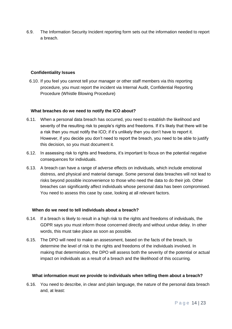6.9. The Information Security Incident reporting form sets out the information needed to report a breach.

#### **Confidentiality Issues**

6.10. If you feel you cannot tell your manager or other staff members via this reporting procedure, you must report the incident via Internal Audit, Confidential Reporting Procedure (Whistle Blowing Procedure)

#### **What breaches do we need to notify the ICO about?**

- 6.11. When a personal data breach has occurred, you need to establish the likelihood and severity of the resulting risk to people's rights and freedoms. If it's likely that there will be a risk then you must notify the ICO; if it's unlikely then you don't have to report it. However, if you decide you don't need to report the breach, you need to be able to justify this decision, so you must document it.
- 6.12. In assessing risk to rights and freedoms, it's important to focus on the potential negative consequences for individuals.
- 6.13. A breach can have a range of adverse effects on individuals, which include emotional distress, and physical and material damage. Some personal data breaches will not lead to risks beyond possible inconvenience to those who need the data to do their job. Other breaches can significantly affect individuals whose personal data has been compromised. You need to assess this case by case, looking at all relevant factors.

#### **When do we need to tell individuals about a breach?**

- 6.14. If a breach is likely to result in a high risk to the rights and freedoms of individuals, the GDPR says you must inform those concerned directly and without undue delay. In other words, this must take place as soon as possible.
- 6.15. The DPO will need to make an assessment, based on the facts of the breach, to determine the level of risk to the rights and freedoms of the individuals involved. In making that determination, the DPO will assess both the severity of the potential or actual impact on individuals as a result of a breach and the likelihood of this occurring.

#### **What information must we provide to individuals when telling them about a breach?**

6.16. You need to describe, in clear and plain language, the nature of the personal data breach and, at least: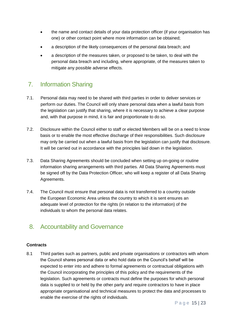- the name and contact details of your data protection officer (if your organisation has one) or other contact point where more information can be obtained;
- a description of the likely consequences of the personal data breach; and
- a description of the measures taken, or proposed to be taken, to deal with the personal data breach and including, where appropriate, of the measures taken to mitigate any possible adverse effects.

### <span id="page-14-0"></span>7. Information Sharing

- 7.1. Personal data may need to be shared with third parties in order to deliver services or perform our duties. The Council will only share personal data when a lawful basis from the legislation can justify that sharing, where it is necessary to achieve a clear purpose and, with that purpose in mind, it is fair and proportionate to do so.
- 7.2. Disclosure within the Council either to staff or elected Members will be on a need to know basis or to enable the most effective discharge of their responsibilities. Such disclosure may only be carried out when a lawful basis from the legislation can justify that disclosure. It will be carried out in accordance with the principles laid down in the legislation.
- 7.3. Data Sharing Agreements should be concluded when setting up on-going or routine information sharing arrangements with third parties. All Data Sharing Agreements must be signed off by the Data Protection Officer, who will keep a register of all Data Sharing Agreements.
- 7.4. The Council must ensure that personal data is not transferred to a country outside the European Economic Area unless the country to which it is sent ensures an adequate level of protection for the rights (in relation to the information) of the individuals to whom the personal data relates.

### <span id="page-14-1"></span>8. Accountability and Governance

#### **Contracts**

8.1 Third parties such as partners, public and private organisations or contractors with whom the Council shares personal data or who hold data on the Council's behalf will be expected to enter into and adhere to formal agreements or contractual obligations with the Council incorporating the principles of this policy and the requirements of the legislation. Such agreements or contracts must define the purposes for which personal data is supplied to or held by the other party and require contractors to have in place appropriate organisational and technical measures to protect the data and processes to enable the exercise of the rights of individuals.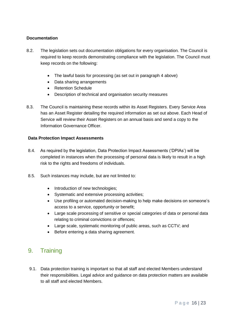#### **Documentation**

- 8.2. The legislation sets out documentation obligations for every organisation. The Council is required to keep records demonstrating compliance with the legislation. The Council must keep records on the following:
	- The lawful basis for processing (as set out in paragraph 4 above)
	- Data sharing arrangements
	- Retention Schedule
	- Description of technical and organisation security measures
- 8.3. The Council is maintaining these records within its Asset Registers. Every Service Area has an Asset Register detailing the required information as set out above. Each Head of Service will review their Asset Registers on an annual basis and send a copy to the Information Governance Officer.

#### **Data Protection Impact Assessments**

- 8.4. As required by the legislation, Data Protection Impact Assessments ('DPIAs') will be completed in instances when the processing of personal data is likely to result in a high risk to the rights and freedoms of individuals.
- 8.5. Such instances may include, but are not limited to:
	- Introduction of new technologies;
	- Systematic and extensive processing activities;
	- Use profiling or automated decision-making to help make decisions on someone's access to a service, opportunity or benefit;
	- Large scale processing of sensitive or special categories of data or personal data relating to criminal convictions or offences;
	- Large scale, systematic monitoring of public areas, such as CCTV; and
	- Before entering a data sharing agreement.

### 9. Training

9.1. Data protection training is important so that all staff and elected Members understand their responsibilities. Legal advice and guidance on data protection matters are available to all staff and elected Members.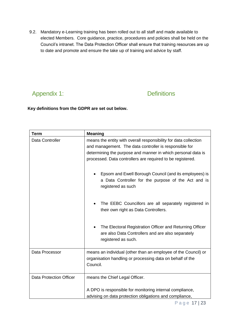9.2. Mandatory e-Learning training has been rolled out to all staff and made available to elected Members. Core guidance, practice, procedures and policies shall be held on the Council's intranet. The Data Protection Officer shall ensure that training resources are up to date and promote and ensure the take up of training and advice by staff.

### <span id="page-16-0"></span>Appendix 1: **Definitions**

**Key definitions from the GDPR are set out below.** 

| <b>Term</b>                    | <b>Meaning</b>                                                                                                                                                                                                                                           |  |
|--------------------------------|----------------------------------------------------------------------------------------------------------------------------------------------------------------------------------------------------------------------------------------------------------|--|
| Data Controller                | means the entity with overall responsibility for data collection<br>and management. The data controller is responsible for<br>determining the purpose and manner in which personal data is<br>processed. Data controllers are required to be registered. |  |
|                                | Epsom and Ewell Borough Council (and its employees) is<br>a Data Controller for the purpose of the Act and is<br>registered as such                                                                                                                      |  |
|                                | The EEBC Councillors are all separately registered in<br>their own right as Data Controllers.                                                                                                                                                            |  |
|                                | The Electoral Registration Officer and Returning Officer<br>are also Data Controllers and are also separately<br>registered as such.                                                                                                                     |  |
| Data Processor                 | means an individual (other than an employee of the Council) or<br>organisation handling or processing data on behalf of the<br>Council.                                                                                                                  |  |
| <b>Data Protection Officer</b> | means the Chief Legal Officer.                                                                                                                                                                                                                           |  |
|                                | A DPO is responsible for monitoring internal compliance,<br>advising on data protection obligations and compliance,                                                                                                                                      |  |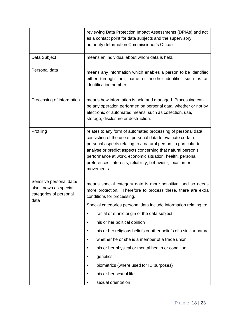|                                                                                     | reviewing Data Protection Impact Assessments (DPIAs) and act<br>as a contact point for data subjects and the supervisory                                                                                                                                                                                                                                                                               |  |
|-------------------------------------------------------------------------------------|--------------------------------------------------------------------------------------------------------------------------------------------------------------------------------------------------------------------------------------------------------------------------------------------------------------------------------------------------------------------------------------------------------|--|
|                                                                                     | authority (Information Commissioner's Office).                                                                                                                                                                                                                                                                                                                                                         |  |
| Data Subject                                                                        | means an individual about whom data is held.                                                                                                                                                                                                                                                                                                                                                           |  |
| Personal data                                                                       | means any information which enables a person to be identified<br>either through their name or another identifier such as an<br>identification number.                                                                                                                                                                                                                                                  |  |
| Processing of information                                                           | means how information is held and managed. Processing can<br>be any operation performed on personal data, whether or not by<br>electronic or automated means, such as collection, use,<br>storage, disclosure or destruction.                                                                                                                                                                          |  |
| Profiling                                                                           | relates to any form of automated processing of personal data<br>consisting of the use of personal data to evaluate certain<br>personal aspects relating to a natural person, in particular to<br>analyse or predict aspects concerning that natural person's<br>performance at work, economic situation, health, personal<br>preferences, interests, reliability, behaviour, location or<br>movements. |  |
| Sensitive personal data/<br>also known as special<br>categories of personal<br>data | means special category data is more sensitive, and so needs<br>more protection. Therefore to process these, there are extra<br>conditions for processing.                                                                                                                                                                                                                                              |  |
|                                                                                     | Special categories personal data include information relating to:                                                                                                                                                                                                                                                                                                                                      |  |
|                                                                                     | racial or ethnic origin of the data subject                                                                                                                                                                                                                                                                                                                                                            |  |
|                                                                                     | his or her political opinion                                                                                                                                                                                                                                                                                                                                                                           |  |
|                                                                                     | his or her religious beliefs or other beliefs of a similar nature<br>$\bullet$                                                                                                                                                                                                                                                                                                                         |  |
|                                                                                     | whether he or she is a member of a trade union                                                                                                                                                                                                                                                                                                                                                         |  |
|                                                                                     | his or her physical or mental health or condition                                                                                                                                                                                                                                                                                                                                                      |  |
|                                                                                     | genetics                                                                                                                                                                                                                                                                                                                                                                                               |  |
|                                                                                     | biometrics (where used for ID purposes)                                                                                                                                                                                                                                                                                                                                                                |  |
|                                                                                     | his or her sexual life                                                                                                                                                                                                                                                                                                                                                                                 |  |
|                                                                                     | sexual orientation                                                                                                                                                                                                                                                                                                                                                                                     |  |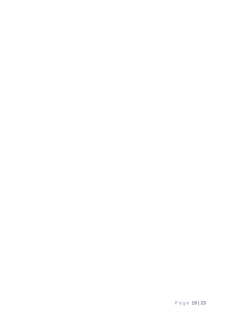<span id="page-18-0"></span>P a g e 19 | 23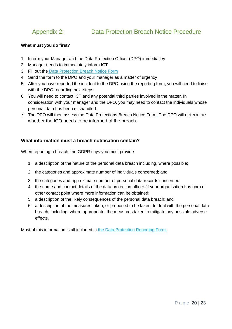## Appendix 2: Data Protection Breach Notice Procedure

#### **What must you do first?**

- 1. Inform your Manager and the Data Protection Officer (DPO) immediatley
- 2. Manager needs to immediately inform ICT
- 3. Fill out the Data Protection Breach Notice Form
- 4. Send the form to the DPO and your manager as a matter of urgency
- 5. After you have reported the incident to the DPO using the reporting form, you will need to liaise with the DPO regarding next steps.
- 6. You will need to contact ICT and any potential third parties involved in the matter. In consideration with your manager and the DPO, you may need to contact the individuals whose personal data has been mishandled.
- 7. The DPO will then assess the Data Protections Breach Notice Form. The DPO will determine whether the ICO needs to be informed of the breach.

#### **What information must a breach notification contain?**

When reporting a breach, the GDPR says you must provide:

- 1. a description of the nature of the personal data breach including, where possible;
- 2. the categories and approximate number of individuals concerned; and
- 3. the categories and approximate number of personal data records concerned;
- 4. the name and contact details of the data protection officer (if your organisation has one) or other contact point where more information can be obtained;
- 5. a description of the likely consequences of the personal data breach; and
- 6. a description of the measures taken, or proposed to be taken, to deal with the personal data breach, including, where appropriate, the measures taken to mitigate any possible adverse effects.

<span id="page-19-0"></span>Most of this information is all included in the Data Protection Reporting Form.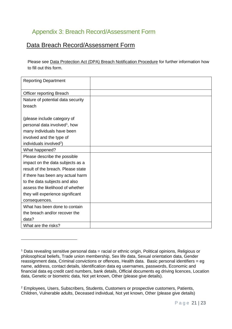### Appendix 3: Breach Record/Assessment Form

### Data Breach Record/Assessment Form

Please see Data Protection Act (DPA) Breach Notification Procedure for further information how to fill out this form.

| <b>Reporting Department</b>                                             |  |
|-------------------------------------------------------------------------|--|
| <b>Officer reporting Breach</b>                                         |  |
| Nature of potential data security                                       |  |
| breach                                                                  |  |
| (please include category of                                             |  |
| personal data involved <sup>1</sup> , how<br>many individuals have been |  |
| involved and the type of                                                |  |
| individuals involved <sup>2</sup> )                                     |  |
| What happened?                                                          |  |
| Please describe the possible                                            |  |
| impact on the data subjects as a<br>result of the breach. Please state  |  |
| if there has been any actual harm                                       |  |
| to the data subjects and also                                           |  |
| assess the likelihood of whether                                        |  |
| they will experience significant                                        |  |
| consequences.                                                           |  |
| What has been done to contain                                           |  |
| the breach and/or recover the                                           |  |
| data?                                                                   |  |
| What are the risks?                                                     |  |

<u>.</u>

 $1$  Data revealing sensitive personal data = racial or ethnic origin, Political opinions, Religious or philosophical beliefs, Trade union membership, Sex life data, Sexual orientation data, Gender reassignment data, Criminal convictions or offences, Health data. Basic personal identifiers = eg name, address, contact details, Identification data eg usernames, passwords, Economic and financial data eg credit card numbers, bank details, Official documents eg driving licences, Location data, Genetic or biometric data, Not yet known, Other (please give details).

<sup>&</sup>lt;sup>2</sup> Employees, Users, Subscribers, Students, Customers or prospective customers, Patients, Children, Vulnerable adults, Deceased individual, Not yet known, Other (please give details)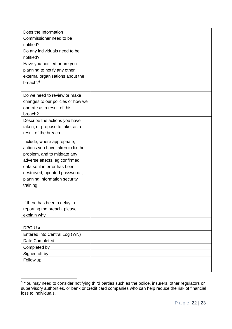| Does the Information<br>Commissioner need to be<br>notified?<br>Do any individuals need to be<br>notified?<br>Have you notified or are you<br>planning to notify any other<br>external organisations about the<br>breach? $3$                   |  |
|-------------------------------------------------------------------------------------------------------------------------------------------------------------------------------------------------------------------------------------------------|--|
| Do we need to review or make<br>changes to our policies or how we<br>operate as a result of this<br>breach?                                                                                                                                     |  |
| Describe the actions you have<br>taken, or propose to take, as a<br>result of the breach                                                                                                                                                        |  |
| Include, where appropriate,<br>actions you have taken to fix the<br>problem, and to mitigate any<br>adverse effects, eg confirmed<br>data sent in error has been<br>destroyed, updated passwords,<br>planning information security<br>training. |  |
| If there has been a delay in<br>reporting the breach, please<br>explain why                                                                                                                                                                     |  |
| DPO Use                                                                                                                                                                                                                                         |  |
| Entered into Central Log (Y/N)                                                                                                                                                                                                                  |  |
| Date Completed                                                                                                                                                                                                                                  |  |
| Completed by                                                                                                                                                                                                                                    |  |
| Signed off by<br>Follow up                                                                                                                                                                                                                      |  |
|                                                                                                                                                                                                                                                 |  |

<sup>&</sup>lt;u>.</u>  $3$  You may need to consider notifying third parties such as the police, insurers, other regulators or supervisory authorities, or bank or credit card companies who can help reduce the risk of financial loss to individuals.